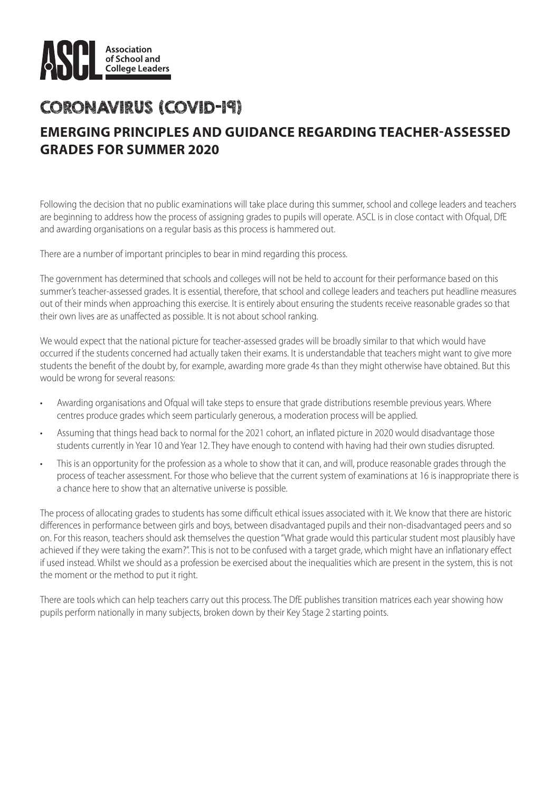

## CORONAVIRUS (COVID-19) **EMERGING PRINCIPLES AND GUIDANCE REGARDING TEACHER-ASSESSED GRADES FOR SUMMER 2020**

Following the decision that no public examinations will take place during this summer, school and college leaders and teachers are beginning to address how the process of assigning grades to pupils will operate. ASCL is in close contact with Ofqual, DfE and awarding organisations on a regular basis as this process is hammered out.

There are a number of important principles to bear in mind regarding this process.

The government has determined that schools and colleges will not be held to account for their performance based on this summer's teacher-assessed grades. It is essential, therefore, that school and college leaders and teachers put headline measures out of their minds when approaching this exercise. It is entirely about ensuring the students receive reasonable grades so that their own lives are as unaffected as possible. It is not about school ranking.

We would expect that the national picture for teacher-assessed grades will be broadly similar to that which would have occurred if the students concerned had actually taken their exams. It is understandable that teachers might want to give more students the benefit of the doubt by, for example, awarding more grade 4s than they might otherwise have obtained. But this would be wrong for several reasons:

- Awarding organisations and Ofqual will take steps to ensure that grade distributions resemble previous years. Where centres produce grades which seem particularly generous, a moderation process will be applied.
- Assuming that things head back to normal for the 2021 cohort, an inflated picture in 2020 would disadvantage those students currently in Year 10 and Year 12. They have enough to contend with having had their own studies disrupted.
- This is an opportunity for the profession as a whole to show that it can, and will, produce reasonable grades through the process of teacher assessment. For those who believe that the current system of examinations at 16 is inappropriate there is a chance here to show that an alternative universe is possible.

The process of allocating grades to students has some difficult ethical issues associated with it. We know that there are historic differences in performance between girls and boys, between disadvantaged pupils and their non-disadvantaged peers and so on. For this reason, teachers should ask themselves the question "What grade would this particular student most plausibly have achieved if they were taking the exam?". This is not to be confused with a target grade, which might have an inflationary effect if used instead. Whilst we should as a profession be exercised about the inequalities which are present in the system, this is not the moment or the method to put it right.

There are tools which can help teachers carry out this process. The DfE publishes transition matrices each year showing how pupils perform nationally in many subjects, broken down by their Key Stage 2 starting points.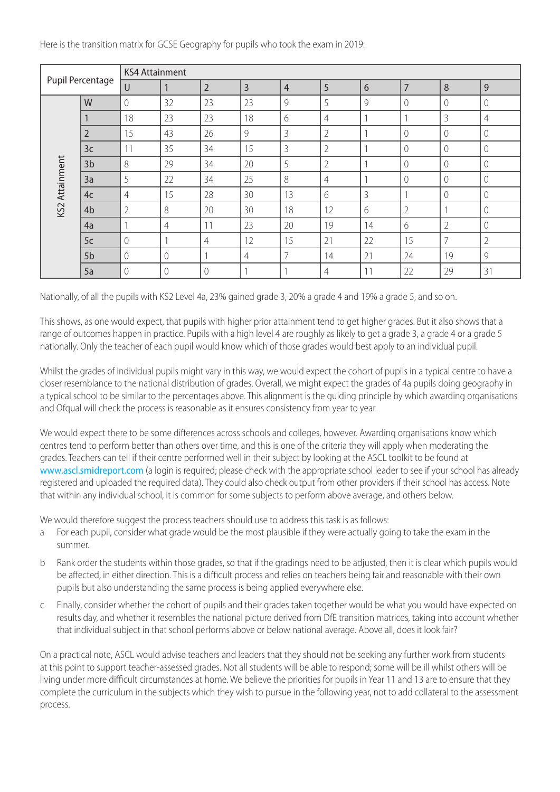Here is the transition matrix for GCSE Geography for pupils who took the exam in 2019:

| Pupil Percentage |                | <b>KS4 Attainment</b> |                |                |    |    |                |                |                |                |                |
|------------------|----------------|-----------------------|----------------|----------------|----|----|----------------|----------------|----------------|----------------|----------------|
|                  |                | U                     |                | $\overline{2}$ | 3  | 4  | 5              | 6              | $\overline{7}$ | 8              | 9              |
| KS2 Attainment   | W              | $\Omega$              | 32             | 23             | 23 | 9  | 5              | 9              | $\mathcal{O}$  | $\Omega$       | $\mathbf{0}$   |
|                  |                | 18                    | 23             | 23             | 18 | 6  | 4              |                |                | 3              | 4              |
|                  | $\overline{2}$ | 15                    | 43             | 26             | 9  | 3  | $\overline{2}$ |                | $\Omega$       | $\Omega$       | $\Omega$       |
|                  | 3 <sub>c</sub> | 11                    | 35             | 34             | 15 | 3  | $\overline{2}$ |                | $\Omega$       | $\Omega$       | 0              |
|                  | 3 <sub>b</sub> | 8                     | 29             | 34             | 20 | 5  | $\overline{2}$ |                | $\Omega$       | 0              | $\Omega$       |
|                  | 3a             | 5                     | 22             | 34             | 25 | 8  | 4              |                | $\mathcal{O}$  | 0              | $\mathbf{0}$   |
|                  | 4 <sub>c</sub> | 4                     | 15             | 28             | 30 | 13 | 6              | 3              |                | 0              | $\mathbf{0}$   |
|                  | 4b             | $\overline{2}$        | 8              | 20             | 30 | 18 | 12             | 6              | $\overline{2}$ |                | 0              |
|                  | 4a             |                       | $\overline{4}$ | 11             | 23 | 20 | 19             | 14             | 6              | $\overline{2}$ | $\Omega$       |
|                  | 5c             | 0                     |                | 4              | 12 | 15 | 21             | 22             | 15             | $\overline{7}$ | $\overline{2}$ |
|                  | 5b             | $\bigcap$             | $\bigcap$      |                | 4  | 7  | 14             | 21             | 24             | 19             | 9              |
|                  | 5a             | $\Omega$              | 0              | $\theta$       |    |    | 4              | 1 <sub>1</sub> | 22             | 29             | 31             |

Nationally, of all the pupils with KS2 Level 4a, 23% gained grade 3, 20% a grade 4 and 19% a grade 5, and so on.

This shows, as one would expect, that pupils with higher prior attainment tend to get higher grades. But it also shows that a range of outcomes happen in practice. Pupils with a high level 4 are roughly as likely to get a grade 3, a grade 4 or a grade 5 nationally. Only the teacher of each pupil would know which of those grades would best apply to an individual pupil.

Whilst the grades of individual pupils might vary in this way, we would expect the cohort of pupils in a typical centre to have a closer resemblance to the national distribution of grades. Overall, we might expect the grades of 4a pupils doing geography in a typical school to be similar to the percentages above. This alignment is the guiding principle by which awarding organisations and Ofqual will check the process is reasonable as it ensures consistency from year to year.

We would expect there to be some differences across schools and colleges, however. Awarding organisations know which centres tend to perform better than others over time, and this is one of the criteria they will apply when moderating the grades. Teachers can tell if their centre performed well in their subject by looking at the ASCL toolkit to be found at [www.ascl.smidreport.com](http://www.ascl.smidreport.com/) (a login is required; please check with the appropriate school leader to see if your school has already registered and uploaded the required data). They could also check output from other providers if their school has access. Note that within any individual school, it is common for some subjects to perform above average, and others below.

We would therefore suggest the process teachers should use to address this task is as follows:

- a For each pupil, consider what grade would be the most plausible if they were actually going to take the exam in the summer.
- b Rank order the students within those grades, so that if the gradings need to be adjusted, then it is clear which pupils would be affected, in either direction. This is a difficult process and relies on teachers being fair and reasonable with their own pupils but also understanding the same process is being applied everywhere else.
- c Finally, consider whether the cohort of pupils and their grades taken together would be what you would have expected on results day, and whether it resembles the national picture derived from DfE transition matrices, taking into account whether that individual subject in that school performs above or below national average. Above all, does it look fair?

On a practical note, ASCL would advise teachers and leaders that they should not be seeking any further work from students at this point to support teacher-assessed grades. Not all students will be able to respond; some will be ill whilst others will be living under more difficult circumstances at home. We believe the priorities for pupils in Year 11 and 13 are to ensure that they complete the curriculum in the subjects which they wish to pursue in the following year, not to add collateral to the assessment process.